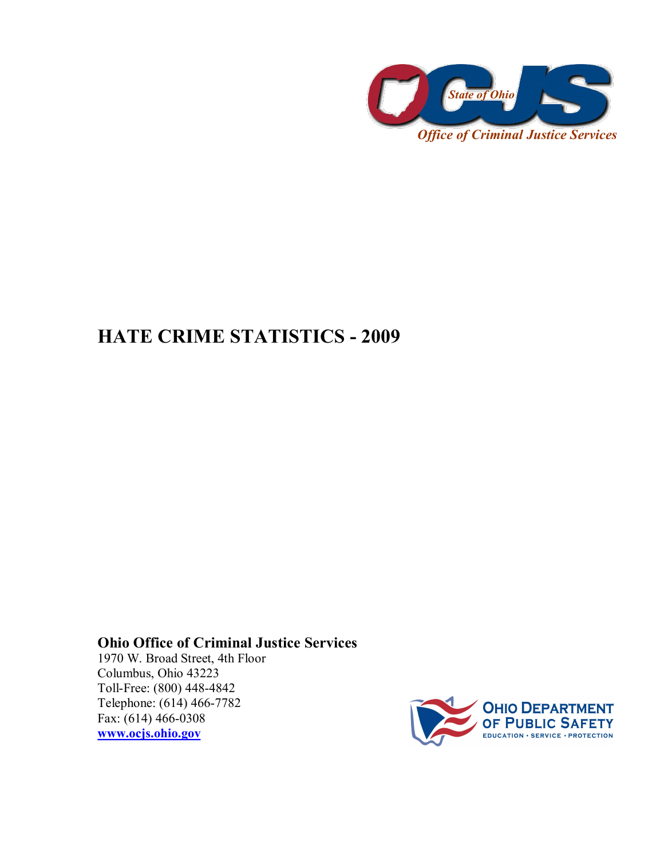

## **HATE CRIME STATISTICS - 2009**

## **Ohio Office of Criminal Justice Services**

1970 W. Broad Street, 4th Floor Columbus, Ohio 43223 Toll-Free: (800) 448-4842 Telephone: (614) 466-7782 Fax:  $(614)$  466-0308 **[www.ocjs.ohio.gov](http://www.ocjs.ohio.gov/)**

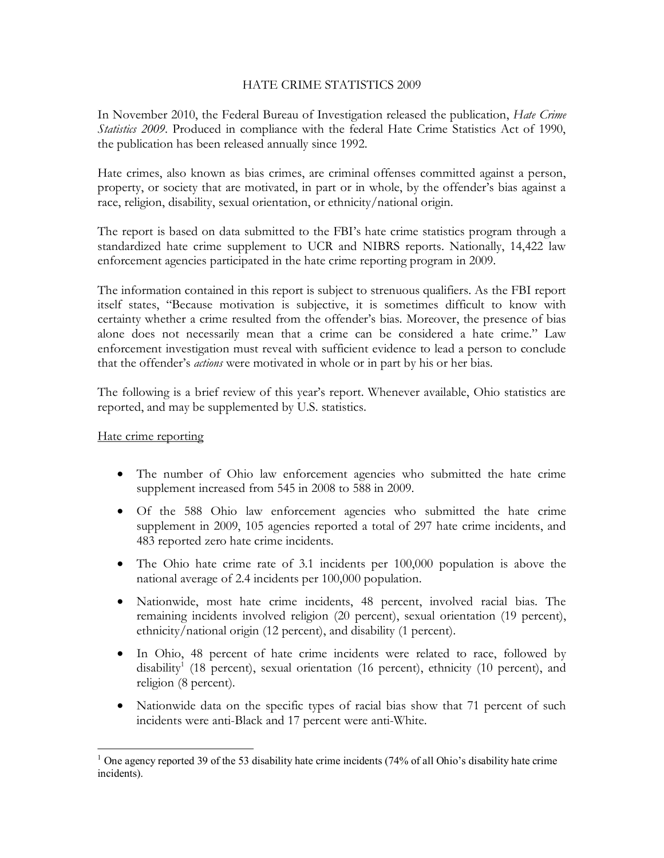## HATE CRIME STATISTICS 2009

In November 2010, the Federal Bureau of Investigation released the publication, *Hate Crime Statistics 2009*. Produced in compliance with the federal Hate Crime Statistics Act of 1990,

the publication has been released annually since 1992.<br>Hate crimes, also known as bias crimes, are criminal offenses committed against a person,<br>property, or society that are motivated, in part or in whole, by the offender race, religion, disability, sexual orientation, or ethnicity/national origin.

The report is based on data submitted to the FBI's hate crime statistics program through a standardized hate crime supplement to UCR and NIBRS reports. Nationally, 14,422 law enforcement agencies participated in the hate crime reporting program in 2009.

The information contained in this report is subject to strenuous qualifiers. As the FBI report itself states, "Because motivation is subjective, it is sometimes difficult to know with certainty whether a crime resulted from the offender's bias. Moreover, the presence of bias alone does not necessarily mean that a crime can be considered a hate crime." Law enforcement investigation must reveal with sufficient evidence to lead a person to conclude that the offender's *actions* were motivated in whole or in part by his or her bias.

The following is a brief review of this year's report. Whenever available, Ohio statistics are reported, and may be supplemented by U.S. statistics. Hate crime reporting

- · The number of Ohio law enforcement agencies who submitted the hate crime supplement increased from 545 in 2008 to 588 in 2009.
- · Of the 588 Ohio law enforcement agencies who submitted the hate crime supplement in 2009, 105 agencies reported a total of 297 hate crime incidents, and 483 reported zero hate crime incidents.
- The Ohio hate crime rate of 3.1 incidents per 100,000 population is above the national average of 2.4 incidents per 100,000 population.
- · Nationwide, most hate crime incidents, 48 percent, involved racial bias. The remaining incidents involved religion (20 percent), sexual orientation (19 percent), ethnicity/national origin (12 percent), and disability (1 percent).
- In Ohio, 48 percent of hate crime incidents were related to race, followed by disability<sup>1</sup> (18 percent), sexual orientation (16 percent), ethnicity (10 percent), and religion (8 percent).
- Nationwide data on the specific types of racial bias show that 71 percent of such incidents were anti-Black and 17 percent were anti-White.

<sup>&</sup>lt;sup>1</sup> One agency reported 39 of the 53 disability hate crime incidents (74% of all Ohio's disability hate crime incidents).